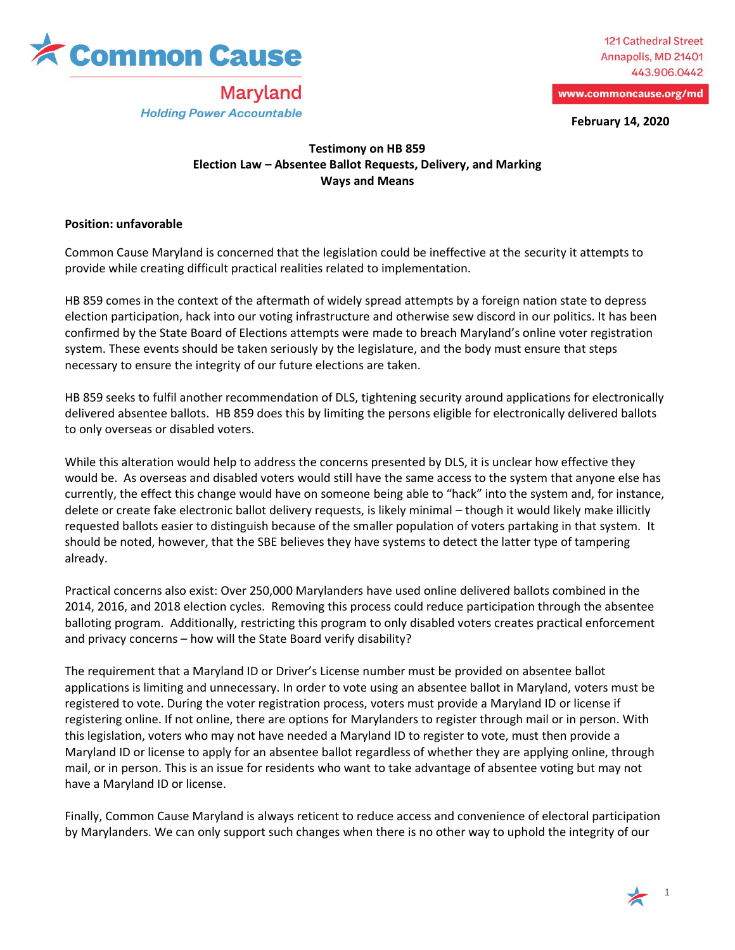

**Maryland** 

**Holding Power Accountable** 

**121 Cathedral Street** Annapolis, MD 21401 443.906.0442

www.commoncause.org/md

**February 14, 2020**

## **Testimony on HB 859 Election Law – Absentee Ballot Requests, Delivery, and Marking Ways and Means**

## **Position: unfavorable**

Common Cause Maryland is concerned that the legislation could be ineffective at the security it attempts to provide while creating difficult practical realities related to implementation.

HB 859 comes in the context of the aftermath of widely spread attempts by a foreign nation state to depress election participation, hack into our voting infrastructure and otherwise sew discord in our politics. It has been confirmed by the State Board of Elections attempts were made to breach Maryland's online voter registration system. These events should be taken seriously by the legislature, and the body must ensure that steps necessary to ensure the integrity of our future elections are taken.

HB 859 seeks to fulfil another recommendation of DLS, tightening security around applications for electronically delivered absentee ballots. HB 859 does this by limiting the persons eligible for electronically delivered ballots to only overseas or disabled voters.

While this alteration would help to address the concerns presented by DLS, it is unclear how effective they would be. As overseas and disabled voters would still have the same access to the system that anyone else has currently, the effect this change would have on someone being able to "hack" into the system and, for instance, delete or create fake electronic ballot delivery requests, is likely minimal – though it would likely make illicitly requested ballots easier to distinguish because of the smaller population of voters partaking in that system. It should be noted, however, that the SBE believes they have systems to detect the latter type of tampering already.

Practical concerns also exist: Over 250,000 Marylanders have used online delivered ballots combined in the 2014, 2016, and 2018 election cycles. Removing this process could reduce participation through the absentee balloting program. Additionally, restricting this program to only disabled voters creates practical enforcement and privacy concerns – how will the State Board verify disability?

The requirement that a Maryland ID or Driver's License number must be provided on absentee ballot applications is limiting and unnecessary. In order to vote using an absentee ballot in Maryland, voters must be registered to vote. During the voter registration process, voters must provide a Maryland ID or license if registering online. If not online, there are options for Marylanders to register through mail or in person. With this legislation, voters who may not have needed a Maryland ID to register to vote, must then provide a Maryland ID or license to apply for an absentee ballot regardless of whether they are applying online, through mail, or in person. This is an issue for residents who want to take advantage of absentee voting but may not have a Maryland ID or license.

Finally, Common Cause Maryland is always reticent to reduce access and convenience of electoral participation by Marylanders. We can only support such changes when there is no other way to uphold the integrity of our